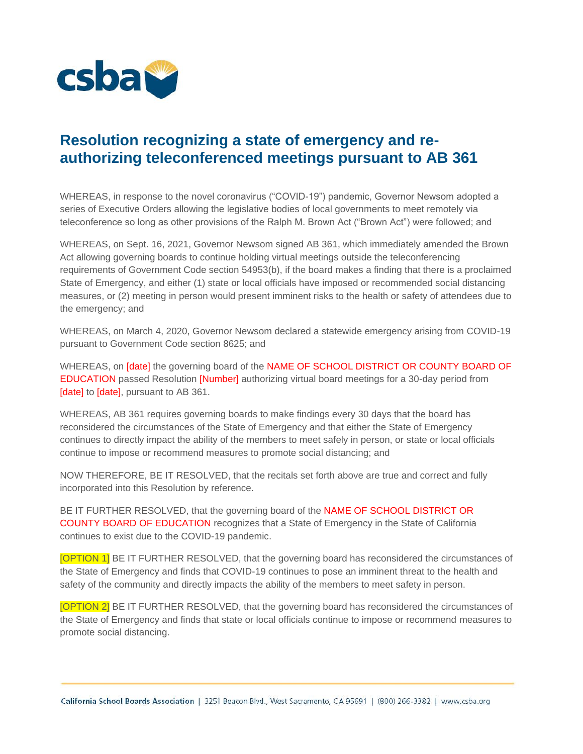

## **Resolution recognizing a state of emergency and reauthorizing teleconferenced meetings pursuant to AB 361**

WHEREAS, in response to the novel coronavirus ("COVID-19") pandemic, Governor Newsom adopted a series of Executive Orders allowing the legislative bodies of local governments to meet remotely via teleconference so long as other provisions of the Ralph M. Brown Act ("Brown Act") were followed; and

WHEREAS, on Sept. 16, 2021, Governor Newsom signed AB 361, which immediately amended the Brown Act allowing governing boards to continue holding virtual meetings outside the teleconferencing requirements of Government Code section 54953(b), if the board makes a finding that there is a proclaimed State of Emergency, and either (1) state or local officials have imposed or recommended social distancing measures, or (2) meeting in person would present imminent risks to the health or safety of attendees due to the emergency; and

WHEREAS, on March 4, 2020, Governor Newsom declared a statewide emergency arising from COVID-19 pursuant to Government Code section 8625; and

WHEREAS, on [date] the governing board of the NAME OF SCHOOL DISTRICT OR COUNTY BOARD OF EDUCATION passed Resolution [Number] authorizing virtual board meetings for a 30-day period from [date] to [date], pursuant to AB 361.

WHEREAS, AB 361 requires governing boards to make findings every 30 days that the board has reconsidered the circumstances of the State of Emergency and that either the State of Emergency continues to directly impact the ability of the members to meet safely in person, or state or local officials continue to impose or recommend measures to promote social distancing; and

NOW THEREFORE, BE IT RESOLVED, that the recitals set forth above are true and correct and fully incorporated into this Resolution by reference.

BE IT FURTHER RESOLVED, that the governing board of the NAME OF SCHOOL DISTRICT OR COUNTY BOARD OF EDUCATION recognizes that a State of Emergency in the State of California continues to exist due to the COVID-19 pandemic.

[OPTION 1] BE IT FURTHER RESOLVED, that the governing board has reconsidered the circumstances of the State of Emergency and finds that COVID-19 continues to pose an imminent threat to the health and safety of the community and directly impacts the ability of the members to meet safety in person.

[OPTION 2] BE IT FURTHER RESOLVED, that the governing board has reconsidered the circumstances of the State of Emergency and finds that state or local officials continue to impose or recommend measures to promote social distancing.